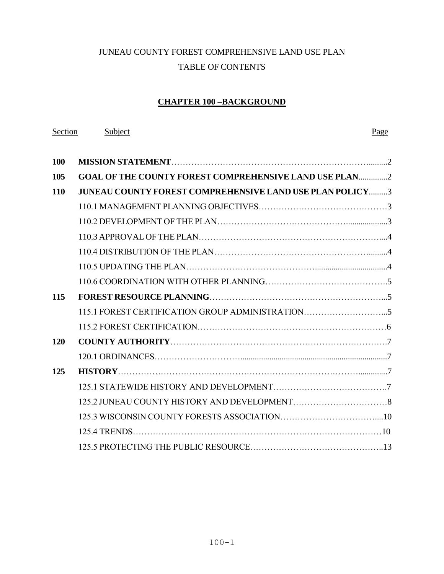# JUNEAU COUNTY FOREST COMPREHENSIVE LAND USE PLAN TABLE OF CONTENTS

# **CHAPTER 100 –BACKGROUND**

| Section | Subject                                                         | Page |
|---------|-----------------------------------------------------------------|------|
| 100     |                                                                 |      |
| 105     | <b>GOAL OF THE COUNTY FOREST COMPREHENSIVE LAND USE PLAN2</b>   |      |
| 110     | <b>JUNEAU COUNTY FOREST COMPREHENSIVE LAND USE PLAN POLICY3</b> |      |
|         |                                                                 |      |
|         |                                                                 |      |
|         |                                                                 |      |
|         |                                                                 |      |
|         |                                                                 |      |
|         |                                                                 |      |
| 115     |                                                                 |      |
|         |                                                                 |      |
|         |                                                                 |      |
| 120     |                                                                 |      |
|         |                                                                 |      |
| 125     |                                                                 |      |
|         |                                                                 |      |
|         |                                                                 |      |
|         |                                                                 |      |
|         |                                                                 |      |
|         |                                                                 |      |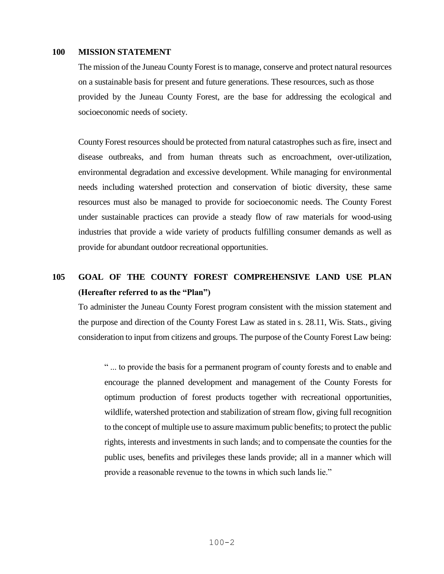### **100 MISSION STATEMENT**

The mission of the Juneau County Forest is to manage, conserve and protect natural resources on a sustainable basis for present and future generations. These resources, such as those provided by the Juneau County Forest, are the base for addressing the ecological and socioeconomic needs of society.

County Forest resources should be protected from natural catastrophes such as fire, insect and disease outbreaks, and from human threats such as encroachment, over-utilization, environmental degradation and excessive development. While managing for environmental needs including watershed protection and conservation of biotic diversity, these same resources must also be managed to provide for socioeconomic needs. The County Forest under sustainable practices can provide a steady flow of raw materials for wood-using industries that provide a wide variety of products fulfilling consumer demands as well as provide for abundant outdoor recreational opportunities.

# **105 GOAL OF THE COUNTY FOREST COMPREHENSIVE LAND USE PLAN (Hereafter referred to as the "Plan")**

To administer the Juneau County Forest program consistent with the mission statement and the purpose and direction of the County Forest Law as stated in s. 28.11, Wis. Stats., giving consideration to input from citizens and groups. The purpose of the County Forest Law being:

" ... to provide the basis for a permanent program of county forests and to enable and encourage the planned development and management of the County Forests for optimum production of forest products together with recreational opportunities, wildlife, watershed protection and stabilization of stream flow, giving full recognition to the concept of multiple use to assure maximum public benefits; to protect the public rights, interests and investments in such lands; and to compensate the counties for the public uses, benefits and privileges these lands provide; all in a manner which will provide a reasonable revenue to the towns in which such lands lie."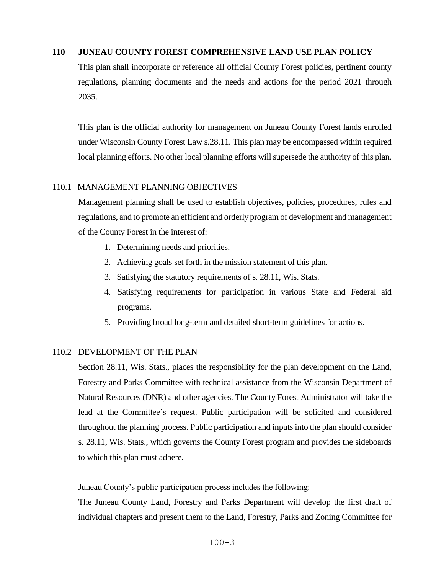### **110 JUNEAU COUNTY FOREST COMPREHENSIVE LAND USE PLAN POLICY**

 This plan shall incorporate or reference all official County Forest policies, pertinent county regulations, planning documents and the needs and actions for the period 2021 through 2035.

This plan is the official authority for management on Juneau County Forest lands enrolled under Wisconsin County Forest Law s.28.11. This plan may be encompassed within required local planning efforts. No other local planning efforts will supersede the authority of this plan.

### 110.1 MANAGEMENT PLANNING OBJECTIVES

Management planning shall be used to establish objectives, policies, procedures, rules and regulations, and to promote an efficient and orderly program of development and management of the County Forest in the interest of:

- 1. Determining needs and priorities.
- 2. Achieving goals set forth in the mission statement of this plan.
- 3. Satisfying the statutory requirements of s. 28.11, Wis. Stats.
- 4. Satisfying requirements for participation in various State and Federal aid programs.
- 5. Providing broad long-term and detailed short-term guidelines for actions.

# 110.2 DEVELOPMENT OF THE PLAN

Section 28.11, Wis. Stats., places the responsibility for the plan development on the Land, Forestry and Parks Committee with technical assistance from the Wisconsin Department of Natural Resources (DNR) and other agencies. The County Forest Administrator will take the lead at the Committee's request. Public participation will be solicited and considered throughout the planning process. Public participation and inputs into the plan should consider s. 28.11, Wis. Stats., which governs the County Forest program and provides the sideboards to which this plan must adhere.

Juneau County's public participation process includes the following:

The Juneau County Land, Forestry and Parks Department will develop the first draft of individual chapters and present them to the Land, Forestry, Parks and Zoning Committee for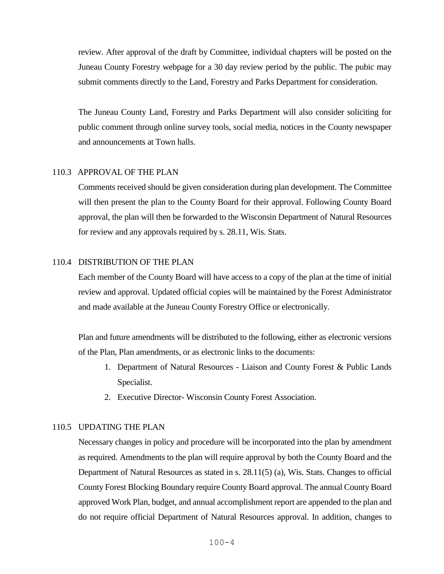review. After approval of the draft by Committee, individual chapters will be posted on the Juneau County Forestry webpage for a 30 day review period by the public. The pubic may submit comments directly to the Land, Forestry and Parks Department for consideration.

The Juneau County Land, Forestry and Parks Department will also consider soliciting for public comment through online survey tools, social media, notices in the County newspaper and announcements at Town halls.

## 110.3 APPROVAL OF THE PLAN

Comments received should be given consideration during plan development. The Committee will then present the plan to the County Board for their approval. Following County Board approval, the plan will then be forwarded to the Wisconsin Department of Natural Resources for review and any approvals required by s. 28.11, Wis. Stats.

### 110.4 DISTRIBUTION OF THE PLAN

Each member of the County Board will have access to a copy of the plan at the time of initial review and approval. Updated official copies will be maintained by the Forest Administrator and made available at the Juneau County Forestry Office or electronically.

Plan and future amendments will be distributed to the following, either as electronic versions of the Plan, Plan amendments, or as electronic links to the documents:

- 1. Department of Natural Resources Liaison and County Forest & Public Lands Specialist.
- 2. Executive Director- Wisconsin County Forest Association.

### 110.5 UPDATING THE PLAN

Necessary changes in policy and procedure will be incorporated into the plan by amendment as required. Amendments to the plan will require approval by both the County Board and the Department of Natural Resources as stated in s. 28.11(5) (a), Wis. Stats. Changes to official County Forest Blocking Boundary require County Board approval. The annual County Board approved Work Plan, budget, and annual accomplishment report are appended to the plan and do not require official Department of Natural Resources approval. In addition, changes to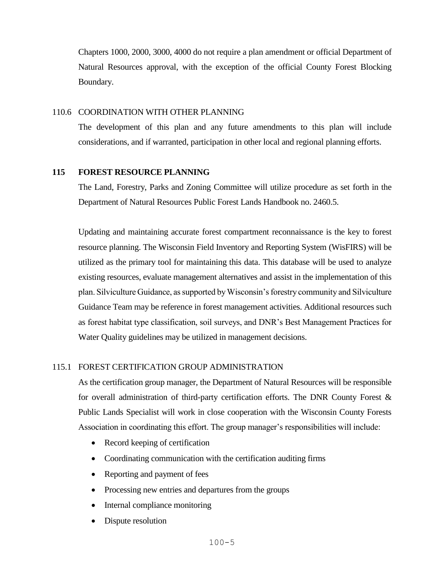Chapters 1000, 2000, 3000, 4000 do not require a plan amendment or official Department of Natural Resources approval, with the exception of the official County Forest Blocking Boundary.

## 110.6 COORDINATION WITH OTHER PLANNING

The development of this plan and any future amendments to this plan will include considerations, and if warranted, participation in other local and regional planning efforts.

# **115 FOREST RESOURCE PLANNING**

The Land, Forestry, Parks and Zoning Committee will utilize procedure as set forth in the Department of Natural Resources Public Forest Lands Handbook no. 2460.5.

Updating and maintaining accurate forest compartment reconnaissance is the key to forest resource planning. The Wisconsin Field Inventory and Reporting System (WisFIRS) will be utilized as the primary tool for maintaining this data. This database will be used to analyze existing resources, evaluate management alternatives and assist in the implementation of this plan. Silviculture Guidance, as supported by Wisconsin's forestry community and Silviculture Guidance Team may be reference in forest management activities. Additional resources such as forest habitat type classification, soil surveys, and DNR's Best Management Practices for Water Quality guidelines may be utilized in management decisions.

# 115.1 FOREST CERTIFICATION GROUP ADMINISTRATION

As the certification group manager, the Department of Natural Resources will be responsible for overall administration of third-party certification efforts. The DNR County Forest  $\&$ Public Lands Specialist will work in close cooperation with the Wisconsin County Forests Association in coordinating this effort. The group manager's responsibilities will include:

- Record keeping of certification
- Coordinating communication with the certification auditing firms
- Reporting and payment of fees
- Processing new entries and departures from the groups
- Internal compliance monitoring
- Dispute resolution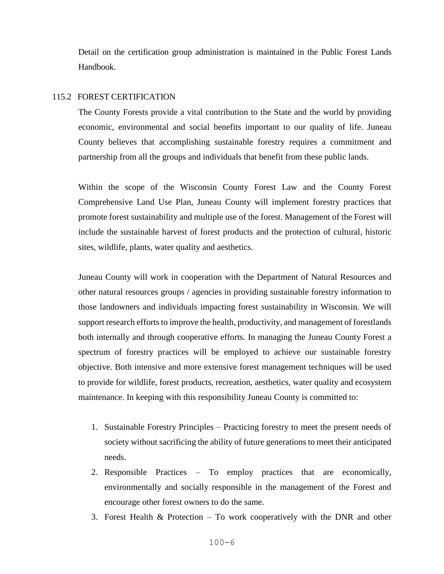Detail on the certification group administration is maintained in the Public Forest Lands Handbook.

### 115.2 FOREST CERTIFICATION

The County Forests provide a vital contribution to the State and the world by providing economic, environmental and social benefits important to our quality of life. Juneau County believes that accomplishing sustainable forestry requires a commitment and partnership from all the groups and individuals that benefit from these public lands.

Within the scope of the Wisconsin County Forest Law and the County Forest Comprehensive Land Use Plan, Juneau County will implement forestry practices that promote forest sustainability and multiple use of the forest. Management of the Forest will include the sustainable harvest of forest products and the protection of cultural, historic sites, wildlife, plants, water quality and aesthetics.

Juneau County will work in cooperation with the Department of Natural Resources and other natural resources groups / agencies in providing sustainable forestry information to those landowners and individuals impacting forest sustainability in Wisconsin. We will support research efforts to improve the health, productivity, and management of forestlands both internally and through cooperative efforts. In managing the Juneau County Forest a spectrum of forestry practices will be employed to achieve our sustainable forestry objective. Both intensive and more extensive forest management techniques will be used to provide for wildlife, forest products, recreation, aesthetics, water quality and ecosystem maintenance. In keeping with this responsibility Juneau County is committed to:

- 1. Sustainable Forestry Principles Practicing forestry to meet the present needs of society without sacrificing the ability of future generations to meet their anticipated needs.
- 2. Responsible Practices To employ practices that are economically, environmentally and socially responsible in the management of the Forest and encourage other forest owners to do the same.
- 3. Forest Health & Protection To work cooperatively with the DNR and other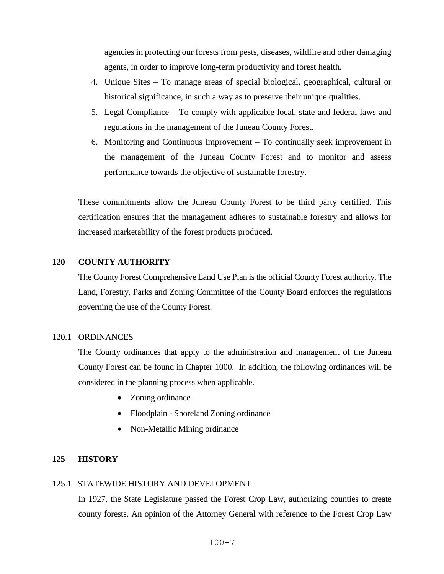agencies in protecting our forests from pests, diseases, wildfire and other damaging agents, in order to improve long-term productivity and forest health.

- 4. Unique Sites To manage areas of special biological, geographical, cultural or historical significance, in such a way as to preserve their unique qualities.
- 5. Legal Compliance To comply with applicable local, state and federal laws and regulations in the management of the Juneau County Forest.
- 6. Monitoring and Continuous Improvement To continually seek improvement in the management of the Juneau County Forest and to monitor and assess performance towards the objective of sustainable forestry.

These commitments allow the Juneau County Forest to be third party certified. This certification ensures that the management adheres to sustainable forestry and allows for increased marketability of the forest products produced.

## **120 COUNTY AUTHORITY**

The County Forest Comprehensive Land Use Plan is the official County Forest authority. The Land, Forestry, Parks and Zoning Committee of the County Board enforces the regulations governing the use of the County Forest.

### 120.1 ORDINANCES

The County ordinances that apply to the administration and management of the Juneau County Forest can be found in Chapter 1000. In addition, the following ordinances will be considered in the planning process when applicable.

- Zoning ordinance
- Floodplain Shoreland Zoning ordinance
- Non-Metallic Mining ordinance

# **125 HISTORY**

### 125.1 STATEWIDE HISTORY AND DEVELOPMENT

In 1927, the State Legislature passed the Forest Crop Law, authorizing counties to create county forests. An opinion of the Attorney General with reference to the Forest Crop Law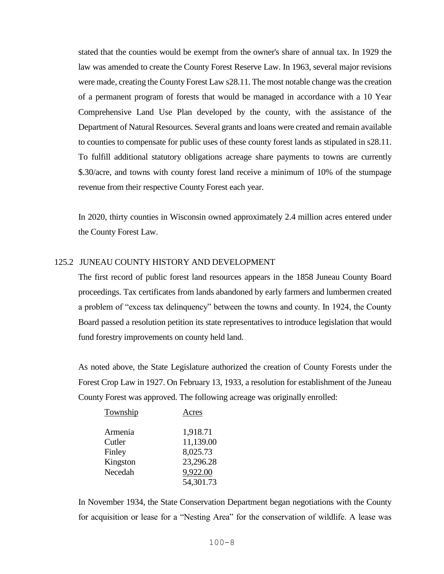stated that the counties would be exempt from the owner's share of annual tax. In 1929 the law was amended to create the County Forest Reserve Law. In 1963, several major revisions were made, creating the County Forest Law s28.11. The most notable change was the creation of a permanent program of forests that would be managed in accordance with a 10 Year Comprehensive Land Use Plan developed by the county, with the assistance of the Department of Natural Resources. Several grants and loans were created and remain available to counties to compensate for public uses of these county forest lands as stipulated in s28.11. To fulfill additional statutory obligations acreage share payments to towns are currently \$.30/acre, and towns with county forest land receive a minimum of 10% of the stumpage revenue from their respective County Forest each year.

In 2020, thirty counties in Wisconsin owned approximately 2.4 million acres entered under the County Forest Law.

### 125.2 JUNEAU COUNTY HISTORY AND DEVELOPMENT

The first record of public forest land resources appears in the 1858 Juneau County Board proceedings. Tax certificates from lands abandoned by early farmers and lumbermen created a problem of "excess tax delinquency" between the towns and county. In 1924, the County Board passed a resolution petition its state representatives to introduce legislation that would fund forestry improvements on county held land.

As noted above, the State Legislature authorized the creation of County Forests under the Forest Crop Law in 1927. On February 13, 1933, a resolution for establishment of the Juneau County Forest was approved. The following acreage was originally enrolled:

| Acres     |
|-----------|
| 1,918.71  |
| 11,139.00 |
| 8,025.73  |
| 23,296.28 |
| 9,922.00  |
| 54,301.73 |
|           |

In November 1934, the State Conservation Department began negotiations with the County for acquisition or lease for a "Nesting Area" for the conservation of wildlife. A lease was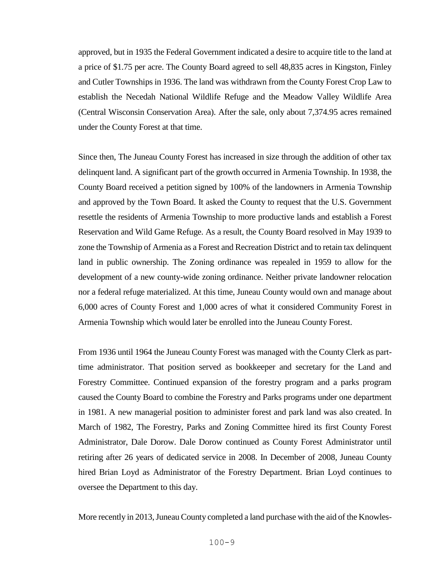approved, but in 1935 the Federal Government indicated a desire to acquire title to the land at a price of \$1.75 per acre. The County Board agreed to sell 48,835 acres in Kingston, Finley and Cutler Townships in 1936. The land was withdrawn from the County Forest Crop Law to establish the Necedah National Wildlife Refuge and the Meadow Valley Wildlife Area (Central Wisconsin Conservation Area). After the sale, only about 7,374.95 acres remained under the County Forest at that time.

Since then, The Juneau County Forest has increased in size through the addition of other tax delinquent land. A significant part of the growth occurred in Armenia Township. In 1938, the County Board received a petition signed by 100% of the landowners in Armenia Township and approved by the Town Board. It asked the County to request that the U.S. Government resettle the residents of Armenia Township to more productive lands and establish a Forest Reservation and Wild Game Refuge. As a result, the County Board resolved in May 1939 to zone the Township of Armenia as a Forest and Recreation District and to retain tax delinquent land in public ownership. The Zoning ordinance was repealed in 1959 to allow for the development of a new county-wide zoning ordinance. Neither private landowner relocation nor a federal refuge materialized. At this time, Juneau County would own and manage about 6,000 acres of County Forest and 1,000 acres of what it considered Community Forest in Armenia Township which would later be enrolled into the Juneau County Forest.

From 1936 until 1964 the Juneau County Forest was managed with the County Clerk as parttime administrator. That position served as bookkeeper and secretary for the Land and Forestry Committee. Continued expansion of the forestry program and a parks program caused the County Board to combine the Forestry and Parks programs under one department in 1981. A new managerial position to administer forest and park land was also created. In March of 1982, The Forestry, Parks and Zoning Committee hired its first County Forest Administrator, Dale Dorow. Dale Dorow continued as County Forest Administrator until retiring after 26 years of dedicated service in 2008. In December of 2008, Juneau County hired Brian Loyd as Administrator of the Forestry Department. Brian Loyd continues to oversee the Department to this day.

More recently in 2013, Juneau County completed a land purchase with the aid of the Knowles-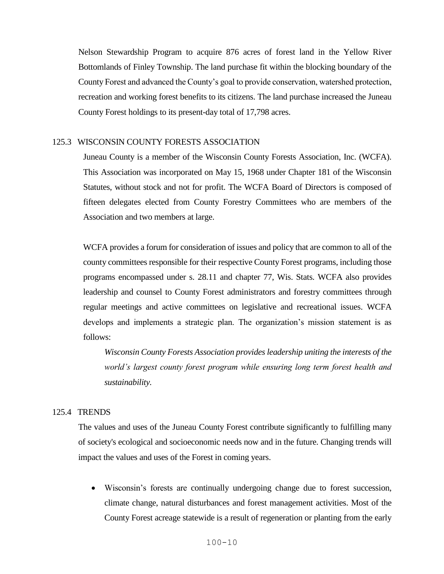Nelson Stewardship Program to acquire 876 acres of forest land in the Yellow River Bottomlands of Finley Township. The land purchase fit within the blocking boundary of the County Forest and advanced the County's goal to provide conservation, watershed protection, recreation and working forest benefits to its citizens. The land purchase increased the Juneau County Forest holdings to its present-day total of 17,798 acres.

### 125.3 WISCONSIN COUNTY FORESTS ASSOCIATION

Juneau County is a member of the Wisconsin County Forests Association, Inc. (WCFA). This Association was incorporated on May 15, 1968 under Chapter 181 of the Wisconsin Statutes, without stock and not for profit. The WCFA Board of Directors is composed of fifteen delegates elected from County Forestry Committees who are members of the Association and two members at large.

WCFA provides a forum for consideration of issues and policy that are common to all of the county committees responsible for their respective County Forest programs, including those programs encompassed under s. 28.11 and chapter 77, Wis. Stats. WCFA also provides leadership and counsel to County Forest administrators and forestry committees through regular meetings and active committees on legislative and recreational issues. WCFA develops and implements a strategic plan. The organization's mission statement is as follows:

*Wisconsin County Forests Association provides leadership uniting the interests of the world's largest county forest program while ensuring long term forest health and sustainability.*

## 125.4 TRENDS

The values and uses of the Juneau County Forest contribute significantly to fulfilling many of society's ecological and socioeconomic needs now and in the future. Changing trends will impact the values and uses of the Forest in coming years.

 Wisconsin's forests are continually undergoing change due to forest succession, climate change, natural disturbances and forest management activities. Most of the County Forest acreage statewide is a result of regeneration or planting from the early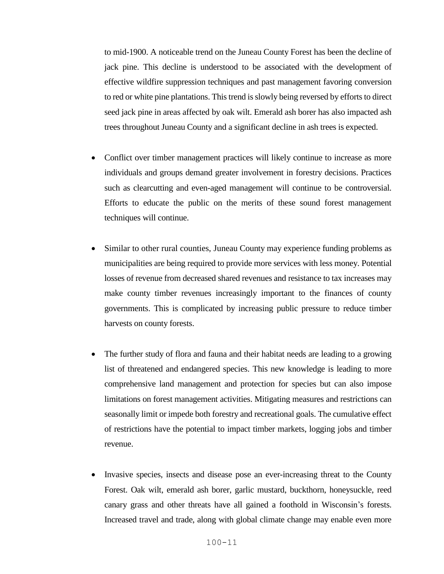to mid-1900. A noticeable trend on the Juneau County Forest has been the decline of jack pine. This decline is understood to be associated with the development of effective wildfire suppression techniques and past management favoring conversion to red or white pine plantations. This trend is slowly being reversed by efforts to direct seed jack pine in areas affected by oak wilt. Emerald ash borer has also impacted ash trees throughout Juneau County and a significant decline in ash trees is expected.

- Conflict over timber management practices will likely continue to increase as more individuals and groups demand greater involvement in forestry decisions. Practices such as clearcutting and even-aged management will continue to be controversial. Efforts to educate the public on the merits of these sound forest management techniques will continue.
- Similar to other rural counties, Juneau County may experience funding problems as municipalities are being required to provide more services with less money. Potential losses of revenue from decreased shared revenues and resistance to tax increases may make county timber revenues increasingly important to the finances of county governments. This is complicated by increasing public pressure to reduce timber harvests on county forests.
- The further study of flora and fauna and their habitat needs are leading to a growing list of threatened and endangered species. This new knowledge is leading to more comprehensive land management and protection for species but can also impose limitations on forest management activities. Mitigating measures and restrictions can seasonally limit or impede both forestry and recreational goals. The cumulative effect of restrictions have the potential to impact timber markets, logging jobs and timber revenue.
- Invasive species, insects and disease pose an ever-increasing threat to the County Forest. Oak wilt, emerald ash borer, garlic mustard, buckthorn, honeysuckle, reed canary grass and other threats have all gained a foothold in Wisconsin's forests. Increased travel and trade, along with global climate change may enable even more